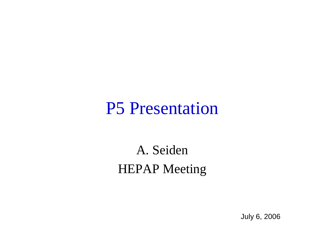#### P5 Presentation

#### A. Seiden HEPAP Meeting

July 6, 2006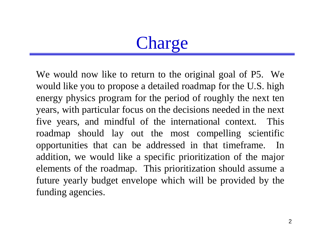# Charge

We would now like to return to the original goal of P5. We would like you to propose a detailed roadmap for the U.S. high energy physics program for the period of roughly the next ten years, with particular focus on the decisions needed in the next five years, and mindful of the international context. This roadmap should lay out the most compelling scientific opportunities that can be addressed in that timeframe. In addition, we would like a specific prioritization of the major elements of the roadmap. This prioritization should assume a future yearly budget envelope which will be provided by the funding agencies.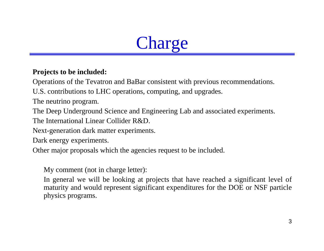# Charge

#### **Projects to be included:**

Operations of the Tevatron and BaBar consistent with previous recommendations.

U.S. contributions to LHC operations, computing, and upgrades.

The neutrino program.

The Deep Underground Science and Engineering Lab and associated experiments.

The International Linear Collider R&D.

Next-generation dark matter experiments.

Dark energy experiments.

Other major proposals which the agencies request to be included.

My comment (not in charge letter):

In general we will be looking at projects that have reached a significant level of maturity and would represent significant expenditures for the DOE or NSF particle physics programs.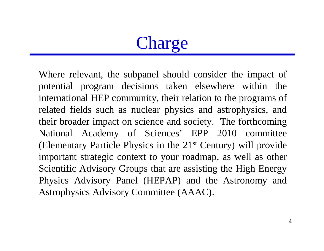# Charge

Where relevant, the subpanel should consider the impact of potential program decisions taken elsewhere within the international HEP community, their relation to the programs of related fields such as nuclear physics and astrophysics, and their broader impact on science and society. The forthcoming National Academy of Sciences' EPP 2010 committee (Elementary Particle Physics in the 21st Century) will provide important strategic context to your roadmap, as well as other Scientific Advisory Groups that are assisting the High Energy Physics Advisory Panel (HEPAP) and the Astronomy and Astrophysics Advisory Committee (AAAC).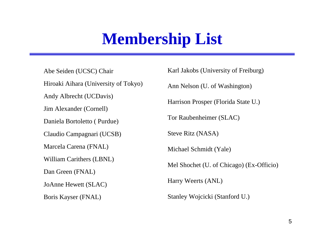#### **Membership List**

Abe Seiden (UCSC) Chair Hiroaki Aihara (University of Tokyo) Andy Albrecht (UCDavis) Jim Alexander (Cornell) Daniela Bortoletto ( Purdue) Claudio Campagnari (UCSB) Marcela Carena (FNAL) William Carithers (LBNL) Dan Green (FNAL) JoAnne Hewett (SLAC) Boris Kayser (FNAL)

Karl Jakobs (University of Freiburg) Ann Nelson (U. of Washington) Harrison Prosper (Florida State U.) Tor Raubenheimer (SLAC) Steve Ritz (NASA) Michael Schmidt (Yale) Mel Shochet (U. of Chicago) (Ex-Officio) Harry Weerts (ANL) Stanley Wojcicki (Stanford U.)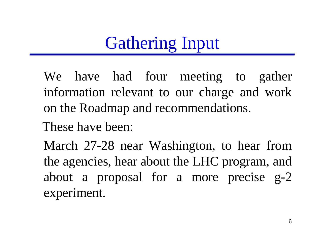# Gathering Input

We have had four meeting to gather information relevant to our charge and work on the Roadmap and recommendations.

These have been:

March 27-28 near Washington, to hear from the agencies, hear about the LHC program, and about a proposal for a more precise g-2 experiment.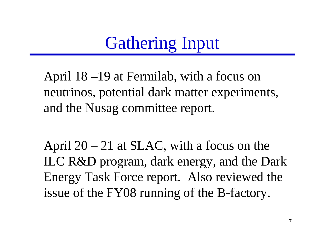# Gathering Input

April 18 –19 at Fermilab, with a focus on neutrinos, potential dark matter experiments, and the Nusag committee report.

April  $20 - 21$  at SLAC, with a focus on the ILC R&D program, dark energy, and the Dark Energy Task Force report. Also reviewed the issue of the FY08 running of the B-factory.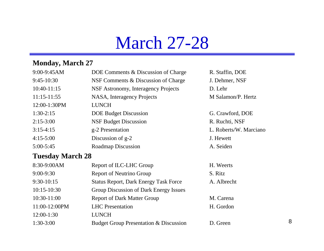### March 27-28

#### **Monday, March 27**

| 9:00-9:45AM   | DOE Comments & Discussion of Charge | R. Staffin, DOE        |
|---------------|-------------------------------------|------------------------|
| $9:45-10:30$  | NSF Comments & Discussion of Charge | J. Dehmer, NSF         |
| $10:40-11:15$ | NSF Astronomy, Interagency Projects | D. Lehr                |
| $11:15-11:55$ | NASA, Interagency Projects          | M Salamon/P. Hertz     |
| 12:00-1:30PM  | <b>LUNCH</b>                        |                        |
| $1:30-2:15$   | <b>DOE Budget Discussion</b>        | G. Crawford, DOE       |
| $2:15-3:00$   | <b>NSF Budget Discussion</b>        | R. Ruchti, NSF         |
| $3:15-4:15$   | g-2 Presentation                    | L. Roberts/W. Marciano |
| $4:15-5:00$   | Discussion of g-2                   | J. Hewett              |
| $5:00-5:45$   | <b>Roadmap Discussion</b>           | A. Seiden              |
| $\sim$        |                                     |                        |

#### **Tuesday March 28**

| 8:30-9:00AM   | Report of ILC-LHC Group                           | H. Weerts   |
|---------------|---------------------------------------------------|-------------|
| $9:00-9:30$   | Report of Neutrino Group                          | S. Ritz     |
| $9:30-10:15$  | <b>Status Report, Dark Energy Task Force</b>      | A. Albrecht |
| $10:15-10:30$ | Group Discussion of Dark Energy Issues            |             |
| 10:30-11:00   | <b>Report of Dark Matter Group</b>                | M. Carena   |
| 11:00-12:00PM | <b>LHC</b> Presentation                           | H. Gordon   |
| 12:00-1:30    | <b>LUNCH</b>                                      |             |
| $1:30-3:00$   | <b>Budget Group Presentation &amp; Discussion</b> | D. Green    |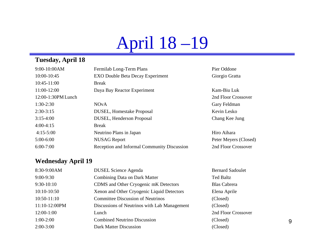# April 18 –19

#### **Tuesday, April 18**

| 9:00-10:00AM       | Fermilab Long-Term Plans                    | Pier Oddone           |
|--------------------|---------------------------------------------|-----------------------|
| 10:00-10:45        | <b>EXO Double Beta Decay Experiment</b>     | Giorgio Gratta        |
| 10:45-11:00        | <b>Break</b>                                |                       |
| 11:00-12:00        | Daya Bay Reactor Experiment                 | Kam-Biu Luk           |
| 12:00-1:30PM Lunch |                                             | 2nd Floor Crossover   |
| $1:30-2:30$        | <b>NOvA</b>                                 | Gary Feldman          |
| $2:30-3:15$        | <b>DUSEL, Homestake Proposal</b>            | Kevin Lesko           |
| $3:15-4:00$        | DUSEL, Henderson Proposal                   | Chang Kee Jung        |
| $4:00-4:15$        | <b>Break</b>                                |                       |
| $4:15-5:00$        | Neutrino Plans in Japan                     | Hiro Aihara           |
| $5:00-6:00$        | <b>NUSAG</b> Report                         | Peter Meyers (Closed) |
| $6:00-7:00$        | Reception and Informal Community Discussion | 2nd Floor Crossover   |
|                    |                                             |                       |

#### **Wednesday April 19**

| 8:30-9:00AM   | <b>DUSEL Science Agenda</b>                  | <b>Bernard Sadoulet</b> |
|---------------|----------------------------------------------|-------------------------|
| $9:00-9:30$   | Combining Data on Dark Matter                | <b>Ted Baltz</b>        |
| $9:30-10:10$  | CDMS and Other Cryogenic mK Detectors        | <b>Blas Cabrera</b>     |
| $10:10-10:50$ | Xenon and Other Cryogenic Liquid Detectors   | Elena Aprile            |
| $10:50-11:10$ | <b>Committee Discussion of Neutrinos</b>     | (Closed)                |
| 11:10-12:00PM | Discussions of Neutrinos with Lab Management | (Closed)                |
| $12:00-1:00$  | Lunch                                        | 2nd Floor Crossover     |
| $1:00-2:00$   | <b>Combined Neutrino Discussion</b>          | (Closed)                |
| $2:00-3:00$   | Dark Matter Discussion                       | (Closed)                |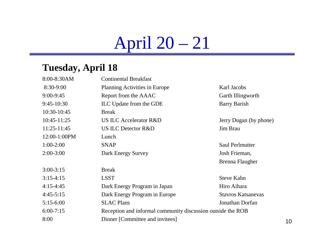# April 20 – 21

#### **Tuesday, April 18**

| 8:00-8:30AM  | <b>Continental Breakfast</b>                                |                           |
|--------------|-------------------------------------------------------------|---------------------------|
| 8:30-9:00    | <b>Planning Activities in Europe</b>                        | Karl Jacobs               |
| $9:00-9:45$  | Report from the AAAC                                        | Garth Illingworth         |
| $9:45-10:30$ | ILC Update from the GDE                                     | <b>Barry Barish</b>       |
| 10:30-10:45  | <b>Break</b>                                                |                           |
| 10:45-11:25  | <b>US ILC Accelerator R&amp;D</b>                           | Jerry Dugan (by phone)    |
| 11:25-11:45  | <b>US ILC Detector R&amp;D</b>                              | Jim Brau                  |
| 12:00-1:00PM | Lunch                                                       |                           |
| $1:00-2:00$  | <b>SNAP</b>                                                 | <b>Saul Perlmutter</b>    |
| $2:00-3:00$  | Dark Energy Survey                                          | Josh Frieman,             |
|              |                                                             | Brenna Flaugher           |
| $3:00-3:15$  | <b>Break</b>                                                |                           |
| $3:15-4:15$  | <b>LSST</b>                                                 | <b>Steve Kahn</b>         |
| $4:15-4:45$  | Dark Energy Program in Japan                                | Hiro Aihara               |
| $4:45-5:15$  | Dark Energy Program in Europe                               | <b>Stavros Katsanevas</b> |
| $5:15-6:00$  | <b>SLAC Plans</b>                                           | Jonathan Dorfan           |
| $6:00-7:15$  | Reception and informal community discussion outside the ROB |                           |
| 8:00         | Dinner [Committee and invitees]                             |                           |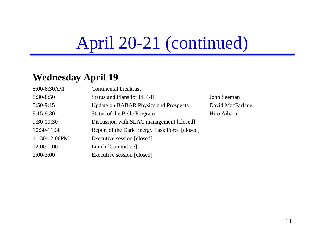# April 20-21 (continued)

#### **Wednesday April 19**

| 8:00-8:30AM   | Continental breakfast                         |             |
|---------------|-----------------------------------------------|-------------|
| 8:30-8:50     | <b>Status and Plans for PEP-II</b>            | John Seema  |
| 8:50-9:15     | <b>Update on BABAR Physics and Prospects</b>  | David MacI  |
| $9:15-9:30$   | <b>Status of the Belle Program</b>            | Hiro Aihara |
| 9:30-10:30    | Discussion with SLAC management [closed]      |             |
| 10:30-11:30   | Report of the Dark Energy Task Force [closed] |             |
| 11:30-12:00PM | Executive session [closed]                    |             |
| $12:00-1:00$  | Lunch [Committee]                             |             |
| $1:00-3:00$   | Executive session [closed]                    |             |

hn Seeman vid MacFarlane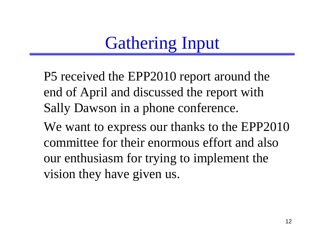# Gathering Input

P5 received the EPP2010 report around the end of April and discussed the report with Sally Dawson in a phone conference.

We want to express our thanks to the EPP2010 committee for their enormous effort and also our enthusiasm for trying to implement the vision they have given us.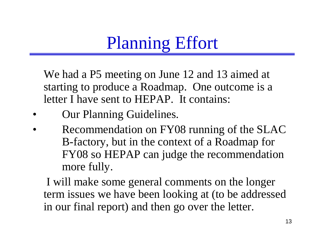# Planning Effort

We had a P5 meeting on June 12 and 13 aimed at starting to produce a Roadmap. One outcome is a letter I have sent to HEPAP. It contains:

- •Our Planning Guidelines.
- • Recommendation on FY08 running of the SLAC B-factory, but in the context of a Roadmap for FY08 so HEPAP can judge the recommendation more fully.

I will make some general comments on the longer term issues we have been looking at (to be addressed in our final report) and then go over the letter.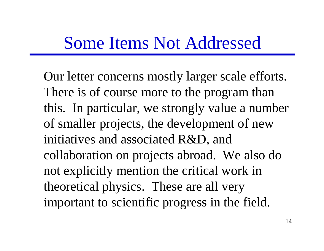#### Some Items Not Addressed

Our letter concerns mostly larger scale efforts. There is of course more to the program than this. In particular, we strongly value a number of smaller projects, the development of new initiatives and associated R&D, and collaboration on projects abroad. We also do not explicitly mention the critical work in theoretical physics. These are all very important to scientific progress in the field.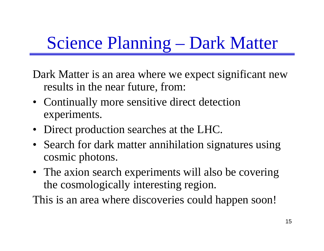# Science Planning – Dark Matter

Dark Matter is an area where we expect significant new results in the near future, from:

- Continually more sensitive direct detection experiments.
- Direct production searches at the LHC.
- Search for dark matter annihilation signatures using cosmic photons.
- The axion search experiments will also be covering the cosmologically interesting region.

This is an area where discoveries could happen soon!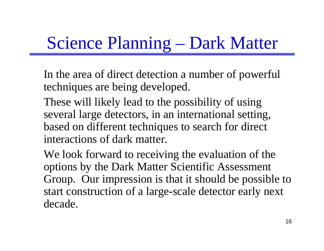# Science Planning – Dark Matter

In the area of direct detection a number of powerful techniques are being developed.

These will likely lead to the possibility of using several large detectors, in an international setting, based on different techniques to search for direct interactions of dark matter.

We look forward to receiving the evaluation of the options by the Dark Matter Scientific Assessment Group. Our impression is that it should be possible to start construction of a large-scale detector early next decade.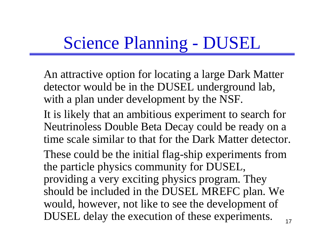# Science Planning - DUSEL

An attractive option for locating a large Dark Matter detector would be in the DUSEL underground lab, with a plan under development by the NSF.

- It is likely that an ambitious experiment to search for Neutrinoless Double Beta Decay could be ready on a time scale similar to that for the Dark Matter detector.
- These could be the initial flag-ship experiments from the particle physics community for DUSEL, providing a very exciting physics program. They should be included in the DUSEL MREFC plan. We would, however, not like to see the development of DUSEL delay the execution of these experiments.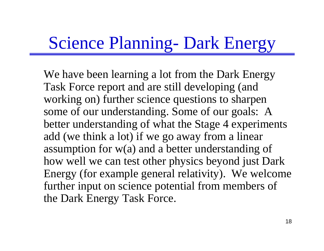### Science Planning- Dark Energy

We have been learning a lot from the Dark Energy Task Force report and are still developing (and working on) further science questions to sharpen some of our understanding. Some of our goals: A better understanding of what the Stage 4 experiments add (we think a lot) if we go away from a linear assumption for w(a) and a better understanding of how well we can test other physics beyond just Dark Energy (for example general relativity). We welcome further input on science potential from members of the Dark Energy Task Force.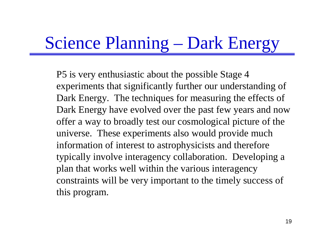# Science Planning – Dark Energy

P5 is very enthusiastic about the possible Stage 4 experiments that significantly further our understanding of Dark Energy. The techniques for measuring the effects of Dark Energy have evolved over the past few years and now offer a way to broadly test our cosmological picture of the universe. These experiments also would provide much information of interest to astrophysicists and therefore typically involve interagency collaboration. Developing a plan that works well within the various interagency constraints will be very important to the timely success of this program.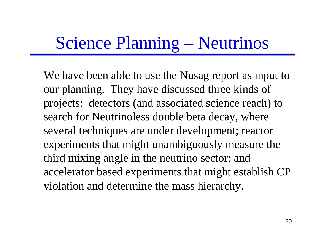### Science Planning – Neutrinos

We have been able to use the Nusag report as input to our planning. They have discussed three kinds of projects: detectors (and associated science reach) to search for Neutrinoless double beta decay, where several techniques are under development; reactor experiments that might unambiguously measure the third mixing angle in the neutrino sector; and accelerator based experiments that might establish CP violation and determine the mass hierarchy.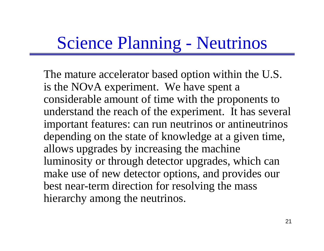### Science Planning - Neutrinos

The mature accelerator based option within the U.S. is the NO <sup>ν</sup>A experiment. We have spent a considerable amount of time with the proponents to understand the reach of the experiment. It has several important features: can run neutrinos or antineutrinos depending on the state of knowledge at a given time, allows upgrades by increasing the machine luminosity or through detector upgrades, which can make use of new detector options, and provides our best near-term direction for resolving the mass hierarchy among the neutrinos.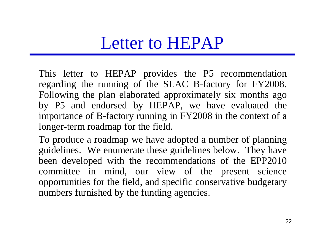#### Letter to HEPAP

This letter to HEPAP provides the P5 recommendation regarding the running of the SLAC B-factory for FY2008. Following the plan elaborated approximately six months ago by P5 and endorsed by HEPAP, we have evaluated the importance of B-factory running in FY2008 in the context of a longer-term roadmap for the field.

To produce a roadmap we have adopted a number of planning guidelines. We enumerate these guidelines below. They have been developed with the recommendations of the EPP2010 committee in mind, our view of the present science opportunities for the field, and specific conservative budgetary numbers furnished by the funding agencies.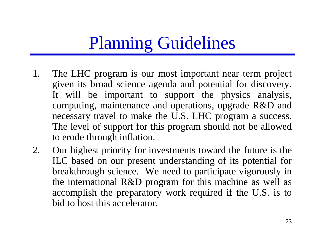- 1. The LHC program is our most important near term project given its broad science agenda and potential for discovery. It will be important to support the physics analysis, computing, maintenance and operations, upgrade R&D and necessary travel to make the U.S. LHC program a success. The level of support for this program should not be allowed to erode through inflation.
- 2. Our highest priority for investments toward the future is the ILC based on our present understanding of its potential for breakthrough science. We need to participate vigorously in the international R&D program for this machine as well as accomplish the preparatory work required if the U.S. is to bid to host this accelerator.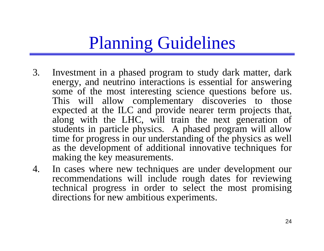- 3. Investment in a phased program to study dark matter, dark energy, and neutrino interactions is essential for answering some of the most interesting science questions before us. This will allow complementary discoveries to those expected at the ILC and provide nearer term projects that, along with the LHC, will train the next generation of students in particle physics. A phased program will allow time for progress in our understanding of the physics as well as the development of additional innovative techniques for making the key measurements.
- 4. In cases where new techniques are under development our recommendations will include rough dates for reviewing technical progress in order to select the most promising directions for new ambitious experiments.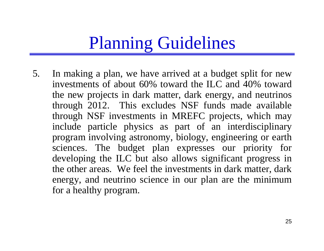5. In making a plan, we have arrived at a budget split for new investments of about 60% toward the ILC and 40% toward the new projects in dark matter, dark energy, and neutrinos through 2012. This excludes NSF funds made available through NSF investments in MREFC projects, which may include particle physics as part of an interdisciplinary program involving astronomy, biology, engineering or earth sciences. The budget plan expresses our priority for developing the ILC but also allows significant progress in the other areas. We feel the investments in dark matter, dark energy, and neutrino science in our plan are the minimum for a healthy program.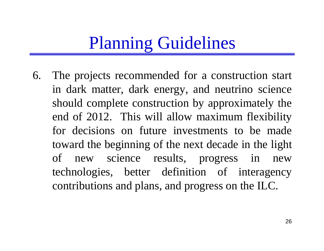6. The projects recommended for a construction start in dark matter, dark energy, and neutrino science should complete construction by approximately the end of 2012. This will allow maximum flexibility for decisions on future investments to be made toward the beginning of the next decade in the light of new science results, progress in new technologies, better definition of interagency contributions and plans, and progress on the ILC.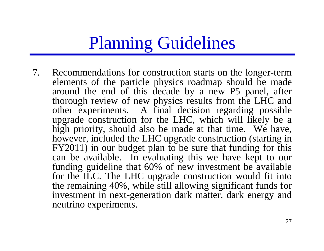7. Recommendations for construction starts on the longer-term elements of the particle physics roadmap should be made around the end of this decade by a new P5 panel, after thorough review of new physics results from the LHC and other experiments. A final decision regarding possible upgrade construction for the LHC, which will likely be a high priority, should also be made at that time. We have, however, included the LHC upgrade construction (starting in FY2011) in our budget plan to be sure that funding for this can be available. In evaluating this we have kept to our funding guideline that 60% of new investment be available for the ILC. The LHC upgrade construction would fit into the remaining 40%, while still allowing significant funds for investment in next-generation dark matter, dark energy and neutrino experiments.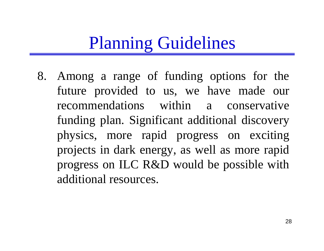8. Among a range of funding options for the future provided to us, we have made our recommendations within a conservative funding plan. Significant additional discovery physics, more rapid progress on exciting projects in dark energy, as well as more rapid progress on ILC R&D would be possible with additional resources.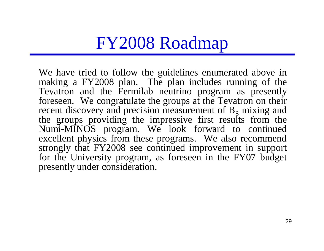We have tried to follow the guidelines enumerated above in making a FY2008 plan. The plan includes running of the Tevatron and the Fermilab neutrino program as presently foreseen. We congratulate the groups at the Tevatron on their recent discovery and precision measurement of  $B_s$  mixing and the groups providing the impressive first results from the Numi-MINOS program. We look forward to continued excellent physics from these programs. We also recommend strongly that FY2008 see continued improvement in support for the University program, as foreseen in the FY07 budget presently under consideration.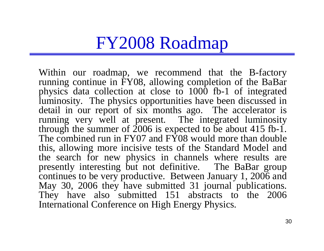Within our roadmap, we recommend that the B-factory running continue in FY08, allowing completion of the BaBar physics data collection at close to 1000 fb-1 of integrated luminosity. The physics opportunities have been discussed in detail in our report of six months ago. The accelerator is running very well at present. The integrated luminosity through the summer of  $2006$  is expected to be about 415 fb-1. The combined run in FY07 and FY08 would more than double this, allowing more incisive tests of the Standard Model and the search for new physics in channels where results are presently interesting but not definitive. The BaBar group continues to be very productive. Between January 1, 2006 and May 30, 2006 they have submitted 31 journal publications. They have also submitted 151 abstracts to the 2006 International Conference on High Energy Physics.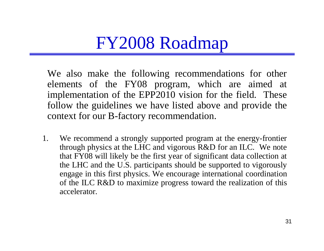We also make the following recommendations for other elements of the FY08 program, which are aimed at implementation of the EPP2010 vision for the field. These follow the guidelines we have listed above and provide the context for our B-factory recommendation.

1. We recommend a strongly supported program at the energy-frontier through physics at the LHC and vigorous R&D for an ILC. We note that FY08 will likely be the first year of significant data collection at the LHC and the U.S. participants should be supported to vigorously engage in this first physics. We encourage international coordination of the ILC R&D to maximize progress toward the realization of this accelerator.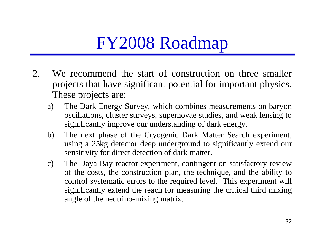- 2. We recommend the start of construction on three smaller projects that have significant potential for important physics. These projects are:
	- a) The Dark Energy Survey, which combines measurements on baryon oscillations, cluster surveys, supernovae studies, and weak lensing to significantly improve our understanding of dark energy.
	- b) The next phase of the Cryogenic Dark Matter Search experiment, using a 25kg detector deep underground to significantly extend our sensitivity for direct detection of dark matter.
	- c) The Daya Bay reactor experiment, contingent on satisfactory review of the costs, the construction plan, the technique, and the ability to control systematic errors to the required level. This experiment will significantly extend the reach for measuring the critical third mixing angle of the neutrino-mixing matrix.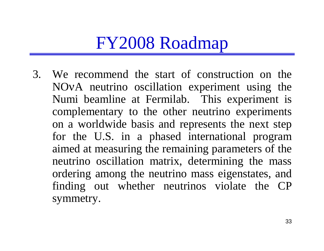3. We recommend the start of construction on the NO <sup>ν</sup>A neutrino oscillation experiment using the Numi beamline at Fermilab. This experiment is complementary to the other neutrino experiments on a worldwide basis and represents the next step for the U.S. in a phased international program aimed at measuring the remaining parameters of the neutrino oscillation matrix, determining the mass ordering among the neutrino mass eigenstates, and finding out whether neutrinos violate the CP symmetry.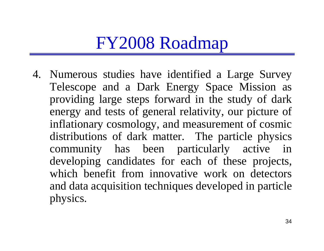4. Numerous studies have identified a Large Survey Telescope and a Dark Energy Space Mission as providing large steps forward in the study of dark energy and tests of general relativity, our picture of inflationary cosmology, and measurement of cosmic distributions of dark matter. The particle physics community has been particularly active in developing candidates for each of these projects, which benefit from innovative work on detectors and data acquisition techniques developed in particle physics.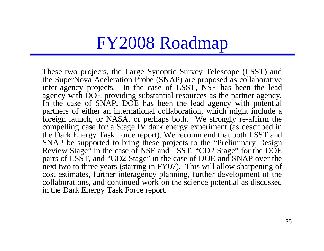These two projects, the Large Synoptic Survey Telescope (LSST) and the SuperNova Aceleration Probe (SNAP) are proposed as collaborative inter-agency projects. In the case of LSST, NSF has been the lead agency with DOE providing substantial resources as the partner agency. In the case of SNAP, DOE has been the lead agency with potential partners of either an international collaboration, which might include a foreign launch, or NASA, or perhaps both. We strongly re-affirm the compelling case for a Stage IV dark energy experiment (as described in the Dark Energy Task Force report). We recommend that both LSST and SNAP be supported to bring these projects to the "Preliminary Design Review Stage" in the case of NSF and LSST, "CD2 Stage" for the DOE parts of LSST, and "CD2 Stage" in the case of DOE and SNAP over the next two to three years (starting in FY07). This will allow sharpening of cost estimates, further interagency planning, further development of the collaborations, and continued work on the science potential as discussed in the Dark Energy Task Force report.